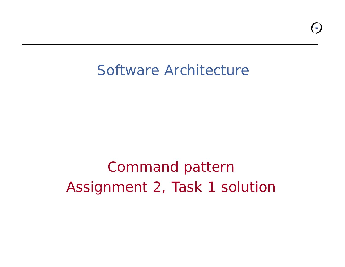### Software Architecture

## Command pattern Assignment 2, Task 1 solution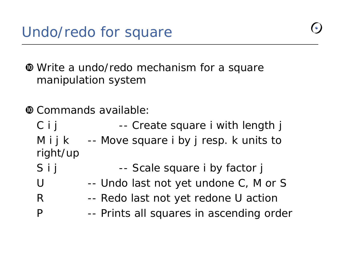**White a undo/redo mechanism for a square** manipulation system

- w Commands available:
	- C i j Fig. 2. -- Create square i with length j M i j k  $-$  -- Move square i by j resp. k units to right/ up S i j Fig. 2 -- Scale square i by factor j
	- $\bigcup$ -- Undo last not yet undone C, M or S
	- R -- Redo last not yet redone U action
	- P -- Prints all squares in ascending order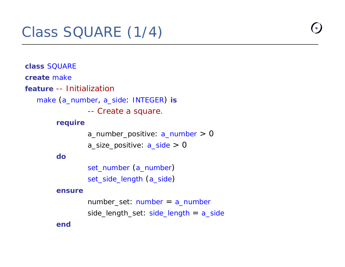### Class SQUARE (1/4)

**class** SQUARE**create** make **feature** -- Initialization make (a\_number, a\_side: INTEGER) **is** -- Create a square. **require** a\_number\_positive: a\_number > 0 a\_size\_positive:  $a$ \_side  $> 0$ **do**set\_number (a\_number) set\_side\_length (a\_side )

#### **ensure**

number\_set: number = a\_number side\_length\_set: side\_length = a\_side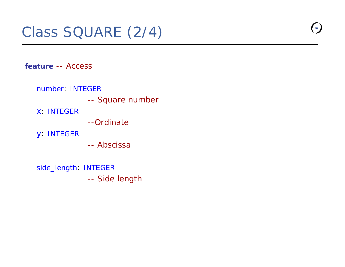### Class SQUARE (2/4)

**feature** -- Access

number: INTEGER

-- Square number

x: INTEGER

--Ordinate

y: INTEGER

-- Abscissa

side\_length: INTEGER -- Side length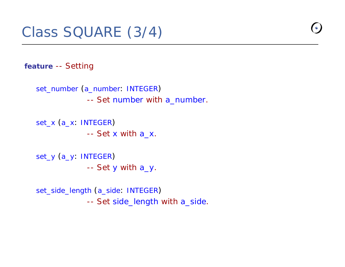### Class SQUARE (3/4)

**feature** -- Setting

```
set_number
(a_number: INTEGER
)
            -- Set number with a_number.
```

```
set_x
(a_x: INTEGER
)
              -- Set 
x with a_x.
```

```
set_y
(a_y: INTEGER
)
              -- Set 
y with a_y.
```
set\_side\_length (a\_side: INTEGER ) -- Set side\_length with a\_side.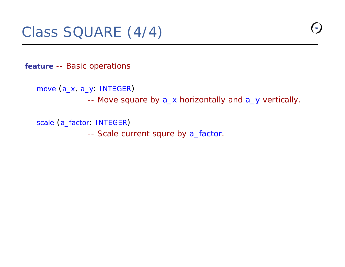**feature** -- Basic operations

move (a\_x, a\_y: INTEGER )

-- Move square by a\_x horizontally and a\_y vertically.

scale (a\_factor: INTEGER )

-- Scale current squre by a\_factor.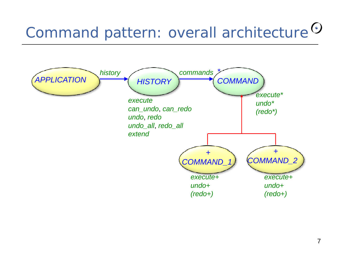# Command pattern: overall architecture <sup>O</sup>

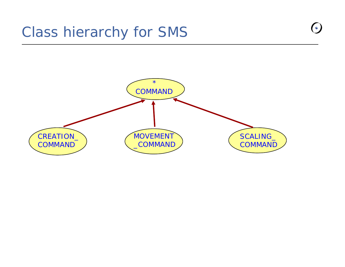### Class hierarchy for SMS



 $\bullet$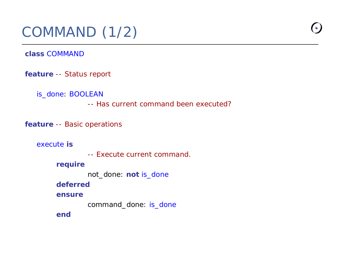### COMMAND (1/2)

**class** COMMAND

**feature** -- Status report

is\_done: BOOLEAN

-- Has current command been executed?

**feature** -- Basic operations

execute **is**

-- Execute current command.

**require**

not\_done: **not** is\_done

**deferred**

**ensure**

command\_done: is\_done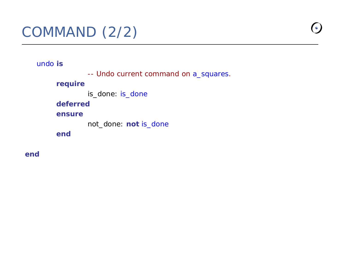### COMMAND (2/2)

undo **is**

-- Undo current command on a\_squares.

#### **require**

is\_done: is\_done

### **deferred**

#### **ensure**

not\_done: **not** is\_done

**end**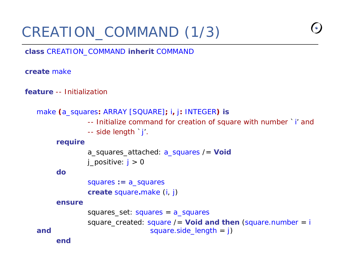### CREATION\_COMMAND (1/3)

**class** CREATION COMMANDCOMMAND**i h it nherit**COMMANDthe company of the company of the company of the company of the company of the company of the company of the company

**create** make

**feature** -- Initialization

```
make (a_squares: ARRAY [SQUARE]; i, j: INTEGER) is
             -- Initialize command for creation of square with number `i' and 
             -- side length `j'.
    require
             a_squares_attached: a_squares /= Voic
            j positive: j > 0dosquares := a_squares
             create square.make (i, j)
    ensuresquares_set: squares = a_squares
             square_created: square /= Void and then (square.number 
= i
and square.size\_length = j)end
```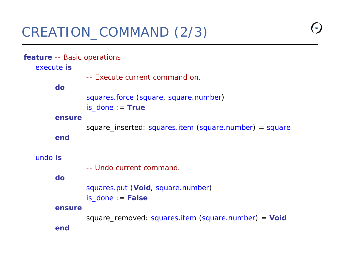#### **feature** -- Basic operations

#### execute **is**

-- Execute current command on.

#### **do**

```
squares.force (square, square.number)
is_done := True
```
#### **ensure**

square\_inserted: squares.item (square.number) = square

**end**

#### undo **is**

-- Undo current command.

#### **do**

squares.put (**Void**, square.number) is\_done := **False**

#### **ensure**

square\_removed: squares.item (square.number) = **Voic end**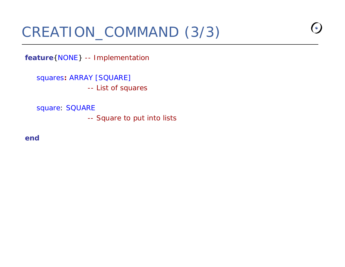### CREATION\_COMMAND (3/3)

**feature**{NONE} -- Implementation

squares**:** ARRAY [SQUARE] -- List of squares

square: SQUARE

-- Square to put into lists